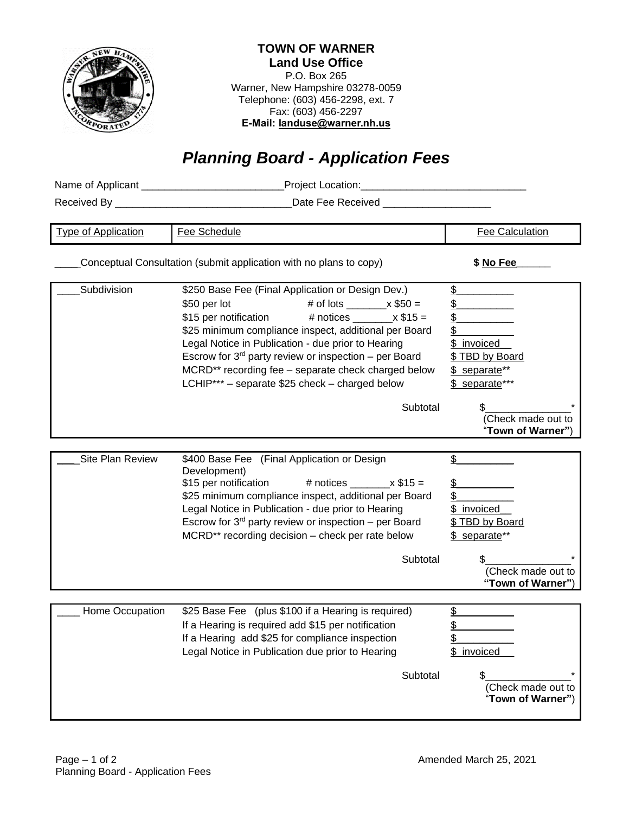

## **TOWN OF WARNER Land Use Office**

P.O. Box 265 Warner, New Hampshire 03278-0059 Telephone: (603) 456-2298, ext. 7 Fax: (603) 456-2297 **E-Mail: landuse@warner.nh.us**

## *Planning Board - Application Fees*

| <b>Type of Application</b> | Fee Schedule                                                                                                                                                                                                                                                                                                                                                                                                                                                         | <b>Fee Calculation</b>                                                                                               |
|----------------------------|----------------------------------------------------------------------------------------------------------------------------------------------------------------------------------------------------------------------------------------------------------------------------------------------------------------------------------------------------------------------------------------------------------------------------------------------------------------------|----------------------------------------------------------------------------------------------------------------------|
|                            | Conceptual Consultation (submit application with no plans to copy)                                                                                                                                                                                                                                                                                                                                                                                                   | \$ No Fee                                                                                                            |
| Subdivision                | \$250 Base Fee (Final Application or Design Dev.)<br>\$50 per lot<br># of lots __________ x $$50 =$<br>\$15 per notification<br># notices ________ $\times$ \$15 =<br>\$25 minimum compliance inspect, additional per Board<br>Legal Notice in Publication - due prior to Hearing<br>Escrow for $3^{rd}$ party review or inspection – per Board<br>MCRD** recording fee - separate check charged below<br>LCHIP*** - separate \$25 check - charged below<br>Subtotal | \$<br><u>\$</u><br>\$<br>\$<br>\$ invoiced<br>\$TBD by Board<br>\$ separate**<br>\$ separate***                      |
|                            |                                                                                                                                                                                                                                                                                                                                                                                                                                                                      | (Check made out to<br>"Town of Warner")                                                                              |
| Site Plan Review           | \$400 Base Fee (Final Application or Design<br>Development)<br># notices $\_\_\_\ x$ \$15 =<br>\$15 per notification<br>\$25 minimum compliance inspect, additional per Board<br>Legal Notice in Publication - due prior to Hearing<br>Escrow for $3^{rd}$ party review or inspection – per Board<br>MCRD** recording decision - check per rate below<br>Subtotal                                                                                                    | \$<br>\$<br>\$.<br>\$ invoiced<br><u>\$ TBD by Board</u><br>\$ separate**<br>(Check made out to<br>"Town of Warner") |
| Home Occupation            | \$25 Base Fee (plus \$100 if a Hearing is required)<br>If a Hearing is required add \$15 per notification<br>If a Hearing add \$25 for compliance inspection<br>Legal Notice in Publication due prior to Hearing<br>Subtotal                                                                                                                                                                                                                                         | \$<br><u>\$</u><br>⊉<br>\$ invoiced<br>S<br>(Check made out to<br>"Town of Warner")                                  |